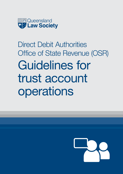

# Direct Debit Authorities Office of State Revenue (OSR) Guidelines for trust account operations

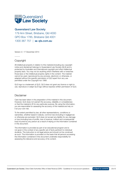

#### Queensland Law Society

179 Ann Street, Brisbane, Qld 4000 GPO Box 1785, Brisbane Qld 4001 1300 367 757 | > qls.com.au

Version 2 | 17 December 2014

#### Copyright

All intellectual property in relation to this material (including any copyright notice and disclaimer) belongs to Queensland Law Society (QLS) and is protected by Australian and international copyright and other intellectual property laws. You may not do anything which interferes with or breaches those laws or the intellectual property rights in the content. The material cannot be used, reproduced by any process, electronic or otherwise, or adapted without the specific permission of QLS apart from any use permitted under the *Copyright Act 1968*.

QLS logo is a trademark of QLS. QLS does not grant any licence or right to use, reproduce or adapt QLS logo without express written permission of QLS.

#### Disclaimer

Care has been taken in the preparation of the material in this document. However, QLS does not warrant the accuracy, reliability or completeness or that the material is fit for any particular purpose. By using the information, you are responsible for assessing the accuracy of the material and rely on it at your own risk.

To the extent permitted by law, all other representations, conditions or warranties, whether based in statute, common law (including in negligence) or otherwise are excluded. QLS does not accept any liability for any damage or loss (including loss of profits, loss of revenue, indirect and consequential loss) incurred by any person as a result of relying on the information contained in this document.

The information is provided as part of an educational program and is not given in the context of any specific set of facts pertinent to individual students. The instruction is not legal advice and should not be construed as such. The information is provided on the basis that all persons accessing the information contained in this document undertake responsibility for assessing the relevance and accuracy of its content.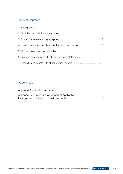#### Table of Contents

| 4. Protection of user identification information and password5 |  |
|----------------------------------------------------------------|--|
|                                                                |  |
|                                                                |  |
|                                                                |  |

#### Appendices

| Appendix B – Certificate in Support of Application |  |
|----------------------------------------------------|--|
|                                                    |  |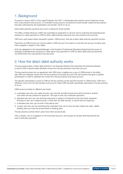# <span id="page-3-0"></span>1. Background

Pursuant to section 250(1) of the *Legal Profession Act 2007*, a Queensland law practice cannot disburse money from a law practice trust account, or controlled money account, by electronic funds transfer unless the law practice has been authorised by the Queensland Law Society ('QLS') to do so.

Direct debit authority payments are a form of electronic funds transfer.

The Office of State Revenue ('OSR') has submitted an application to QLS for QLS to authorise all Queensland law practices to make payments to OSR by direct debit authority payments from law practice trust accounts.

OSR has a web based duties transaction system, OSRconnect, that has a direct debit authority payment function.

Payments via OSRconnect can only be made to OSR and can't be made for more than the amount of stamp duty that is payable in respect of the matter.

QLS has delegated to the General Manager of the Society's Professional Standards Department the power to authorise Queensland law practices to make stamp duty payments to OSR by direct debit authority payments via OSRconnect from law practice trust accounts.

# 2. How the direct debit authority works

The law practice gives a direct debit authority to its financial institution that authorises the financial institution to permit OSR to electronically withdraw money from the law practice's trust bank account.

The law practice enters into an agreement with OSR when it registers as a user of OSRconnect to the effect that OSR can withdraw money from the law practice's trust bank account if the law practice has given a specific authorisation to OSR to withdraw the money from the law practice trust bank account.

The specific authorisation is given to OSR by the law practice via the payment function in OSRconnect. OSR can't withdraw money from the law practice trust account unless OSR has been specifically authorised by the law practice to do so.

OSRconnect provides for different user levels:

- a. a standard user who can create records, save records as draft records and submit records to another user within the law practice for approval – this type of user can't authorise payments;
- b. standard user who can only authorise payments in respect of transactions that have been assessed this type of user can't create records, or save them as draft records, or submit them for approval;
- c. a standard user who can do both of the above; and
- d. a super user who can do everything that a standard user can do and can also create new users, delete existing users and vary the access levels of existing users.

The law practice controls which users have which access levels.

Only a solicitor, who is a signatory to the trust bank account, can be given an access level that permits the user to authorise payments.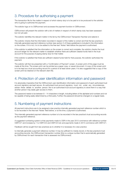### <span id="page-4-0"></span>3. Procedure for authorising a payment

The transaction file for the matter in respect of which stamp duty is to be paid is to be produced to the solicitior who is going to authorise the payment.

The solicitor logs on to OSRconnect and accesses the payment function in OSRconnect.

OSRconnect will present the solicitor with a list of matters in respect of which stamp duty has been assessed but not yet paid.

The solicitor identifies the relevant matter in the list by the OSRconnect Transaction Number and selects it.

The solicitor checks that the information recorded in respect of the matter is correct and that the law practice's internally generated payment reference number (see section 5 of these guidelines) is included in the information on the screen. If it is not, it is to be added to the free text 'Notes' field before the payment is authorised.

If the solicitor is satisfied that the information on the screen is correct and complete, the solicitor checks the trust account ledger for the relevant matter to establish whether there are sufficient cleared funds held in the trust account for the purpose of paying stamp duty for that matter.

If the solicitor is satisfied that there are sufficient cleared funds held for that purpose, the solicitor authorises the payment.

The solicitor will then be presented with a 'Confirmation of Payment' screen. A screen print of this page must be made at this time. The screen print can be printed as a paper copy, or saved document. A copy of the screen print is to be kept as a trust accounting record for a period of at least seven years. It is also suggested that a copy of the screen print be retained on the relevant client file.

#### 4. Protection of user identification information and password

It is absolutely imperative that the OSRconnect user identification information and password of each authorised trust account signatory are kept secure. An authorised trust account signatory must not, under any circumstances, advise these details to another person. Nor is an authorised trust account signatory to store them in a way that another person may easily gain access to them.

The password needs to be between 8 – 14 characters in length, including letters of the alphabet and numbers and not be capable of being easily determined by a third party. Further, the password should be changed on a regular basis.

# 5. Numbering of payment instructions

All payment instructions are to be assigned a law practice internally generated payment reference number which is to be recorded in the free text 'Notes' field before, or at the time, a payment is authorised.

This internally generated payment reference number is to be recorded in the law practice's trust accounting records as the payment reference.

A suggested numbering system is that payments made to OSR in the year 2013 commence with reference number OSR13/1 and increase by 1 to OSR13/2 and OSR13/3 etc and payments made in 2014 commence with OSR14/1.

Feedback will be sought from law practices as to whether it is necessary for a law practice

to internally generate a payment reference number. It may be sufficient to merely record, in the law practice's trust accounting records, the OSRconnect transaction number (this is a unique number that is automatically generated by OSRconnect for each transaction that is assessed via OSRconnect).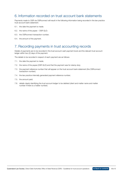#### <span id="page-5-0"></span>6. Information recorded on trust account bank statements

Payments made to OSR via OSRconnect will result in the following information being recorded in the law practice trust account bank statement:

- 6.1. the date the payment is made;
- 6.2. the name of the payee OSR QLD;
- 6.3. the OSRconnect transaction number;
- 6.4. the amount of the payment.

#### 7. Recording payments in trust accounting records

Details of payments are to be recorded in the trust account cash payment book and the relevant trust account ledger within two (2) days of the payment.

The details to be recorded in respect of each payment are as follows:

- 7.1. the date the payment is made;
- 7.2. the name of the payee (OSR QLD) and that the payment was for stamp duty;
- 7.3. the payment reference number that will appear on the trust account bank statement (the OSRconnect transaction number);
- 7.4. the law practice internally generated payment reference number;
- 7.5. the amount paid;
- 7.6. details clearly identifying the trust account ledger to be debited (client and matter name and matter number if there is a matter number).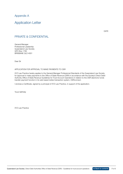Appendix A

#### Application Letter

#### PRIVATE & CONFIDENTIAL

General Manager Professional Leadership Queensland Law Society GPO Box 1785 BRISBANE QLD 4001

Dear Sir

APPLICATION FOR APPROVAL TO MAKE PAYMENTS TO OSR

XYZ Law Practice hereby applies to the General Manager Professional Standards of the Queensland Law Society for approval to make payments to the Office of State Revenue (OSR) in accordance with the Society's Direct Debit Authority Office of State Revenue Guidelines for Trust Account Operations in relation to the OSR electronic funds transfer payment function in its web based duties transaction system, OSRconnect.

I enclose a Certificate, signed by a principal of XYZ Law Practice, in support of the application.

Yours faithfully

XYZ Law Practice